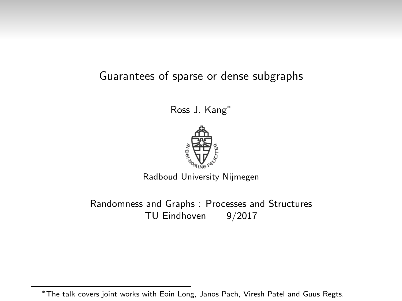#### Guarantees of sparse or dense subgraphs

Ross J. Kang<sup>∗</sup>



Radboud University Nijmegen

Randomness and Graphs : Processes and Structures TU Eindhoven 9/2017

<sup>∗</sup>The talk covers joint works with Eoin Long, Janos Pach, Viresh Patel and Guus Regts.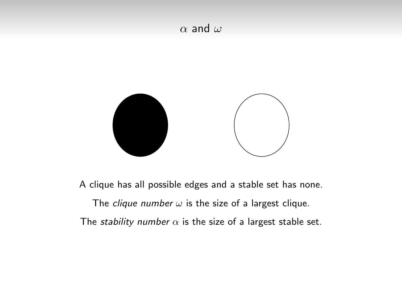#### $\alpha$  and  $\omega$



A clique has all possible edges and a stable set has none.

The clique number  $\omega$  is the size of a largest clique. The *stability number*  $\alpha$  is the size of a largest stable set.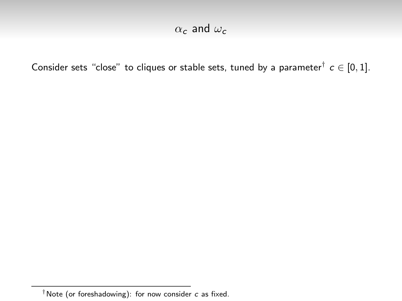Consider sets "close" to cliques or stable sets, tuned by a parameter<sup>†</sup>  $c \in [0,1]$ .

 $\dagger$ Note (or foreshadowing): for now consider  $c$  as fixed.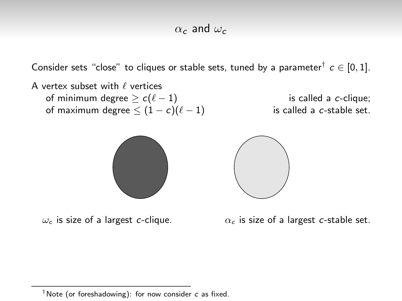Consider sets "close" to cliques or stable sets, tuned by a parameter<sup>†</sup>  $c \in [0,1]$ .

A vertex subset with  $\ell$  vertices of minimum degree  $\geq c(\ell - 1)$  is called a c-clique; of maximum degree  $\leq (1 - c)(\ell - 1)$  is called a c-stable set.





 $\omega_c$  is size of a largest c-clique.  $\alpha_c$  is size of a largest c-stable set.

 $\dagger$ Note (or foreshadowing): for now consider  $c$  as fixed.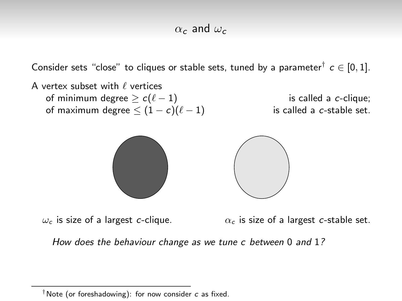Consider sets "close" to cliques or stable sets, tuned by a parameter<sup>†</sup>  $c \in [0,1]$ .

A vertex subset with  $\ell$  vertices of minimum degree  $\geq c(\ell - 1)$  is called a c-clique; of maximum degree  $\leq (1 - c)(\ell - 1)$  is called a c-stable set.



 $\omega_c$  is size of a largest c-clique.  $\alpha_c$  is size of a largest c-stable set.

How does the behaviour change as we tune c between 0 and 1?

 $\dagger$ Note (or foreshadowing): for now consider c as fixed.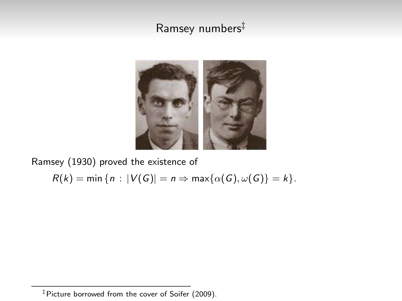# Ramsey numbers‡



Ramsey (1930) proved the existence of

$$
R(k) = \min \{ n : |V(G)| = n \Rightarrow \max \{ \alpha(G), \omega(G) \} = k \}.
$$

<sup>‡</sup>Picture borrowed from the cover of Soifer (2009).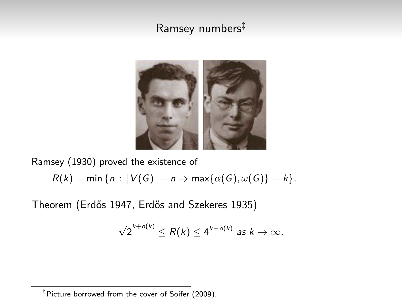## Ramsey numbers‡



Ramsey (1930) proved the existence of

 $R(k) = \min \{n : |V(G)| = n \Rightarrow \max \{\alpha(G), \omega(G)\} = k\}.$ 

Theorem (Erdős 1947, Erdős and Szekeres 1935)

$$
\sqrt{2}^{k+o(k)} \leq R(k) \leq 4^{k-o(k)} \text{ as } k \to \infty.
$$

<sup>‡</sup>Picture borrowed from the cover of Soifer (2009).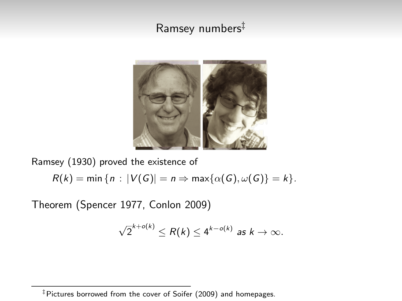## Ramsey numbers<sup>‡</sup>



Ramsey (1930) proved the existence of

$$
R(k) = \min \{ n : |V(G)| = n \Rightarrow \max \{ \alpha(G), \omega(G) \} = k \}.
$$

Theorem (Spencer 1977, Conlon 2009)

$$
\sqrt{2}^{k+o(k)} \leq R(k) \leq 4^{k-o(k)} \text{ as } k \to \infty.
$$

<sup>‡</sup>Pictures borrowed from the cover of Soifer (2009) and homepages.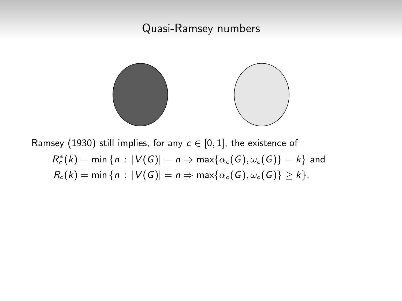

Ramsey (1930) still implies, for any  $c \in [0,1]$ , the existence of  $R_c^*(k) = \min \{ n : |V(G)| = n \Rightarrow \max \{ \alpha_c(G), \omega_c(G) \} = k \}$  and  $R_c(k) = \min\{n : |V(G)| = n \Rightarrow \max\{\alpha_c(G), \omega_c(G)\} \ge k\}.$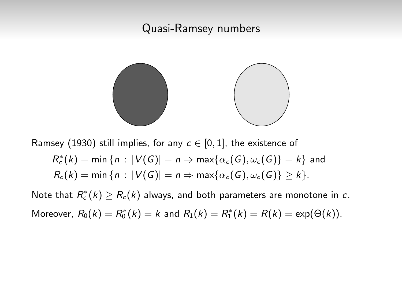

Ramsey (1930) still implies, for any  $c \in [0,1]$ , the existence of

$$
R_c^*(k) = \min \{ n : |V(G)| = n \Rightarrow \max \{ \alpha_c(G), \omega_c(G) \} = k \}
$$
 and  

$$
R_c(k) = \min \{ n : |V(G)| = n \Rightarrow \max \{ \alpha_c(G), \omega_c(G) \} \ge k \}.
$$

Note that  $R_c^*(k) \geq R_c(k)$  always, and both parameters are monotone in  $c$ . Moreover,  $R_0(k) = R_0^*(k) = k$  and  $R_1(k) = R_1^*(k) = R(k) = \exp(\Theta(k)).$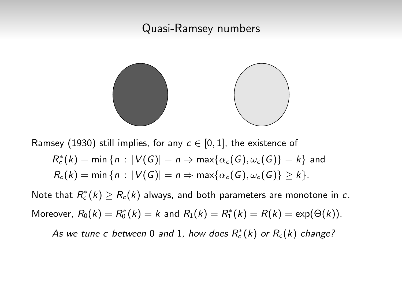

Ramsey (1930) still implies, for any  $c \in [0,1]$ , the existence of  $R_c^*(k) = \min \{ n : |V(G)| = n \Rightarrow \max \{ \alpha_c(G), \omega_c(G) \} = k \}$  and  $R_c(k) = \min\{n : |V(G)| = n \Rightarrow \max\{\alpha_c(G), \omega_c(G)\} \ge k\}.$ 

Note that  $R_c^*(k) \geq R_c(k)$  always, and both parameters are monotone in  $c$ . Moreover,  $R_0(k) = R_0^*(k) = k$  and  $R_1(k) = R_1^*(k) = R(k) = \exp(\Theta(k)).$ 

As we tune c between 0 and 1, how does  $R_c^*(k)$  or  $R_c(k)$  change?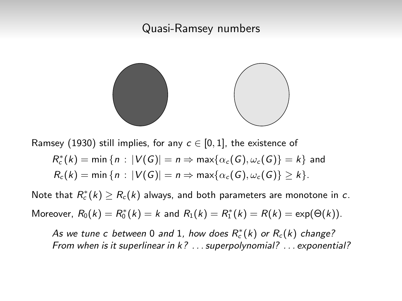

Ramsey (1930) still implies, for any  $c \in [0,1]$ , the existence of

$$
R_c^*(k) = \min \{ n : |V(G)| = n \Rightarrow \max \{ \alpha_c(G), \omega_c(G) \} = k \}
$$
 and  

$$
R_c(k) = \min \{ n : |V(G)| = n \Rightarrow \max \{ \alpha_c(G), \omega_c(G) \} \ge k \}.
$$

Note that  $R_c^*(k) \geq R_c(k)$  always, and both parameters are monotone in  $c$ . Moreover,  $R_0(k) = R_0^*(k) = k$  and  $R_1(k) = R_1^*(k) = R(k) = \exp(\Theta(k)).$ 

As we tune c between 0 and 1, how does  $R_c^*(k)$  or  $R_c(k)$  change? From when is it superlinear in k? . . . superpolynomial? . . . exponential?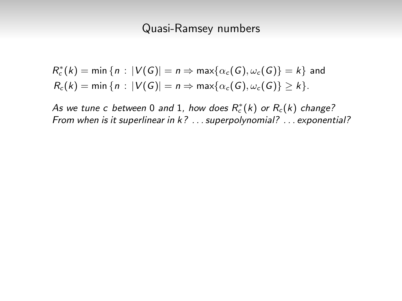$$
R_c^*(k) = \min \{ n : |V(G)| = n \Rightarrow \max \{ \alpha_c(G), \omega_c(G) \} = k \}
$$
 and  

$$
R_c(k) = \min \{ n : |V(G)| = n \Rightarrow \max \{ \alpha_c(G), \omega_c(G) \} \ge k \}.
$$

As we tune c between 0 and 1, how does  $R_c^*(k)$  or  $R_c(k)$  change? From when is it superlinear in k? . . . superpolynomial? . . . exponential?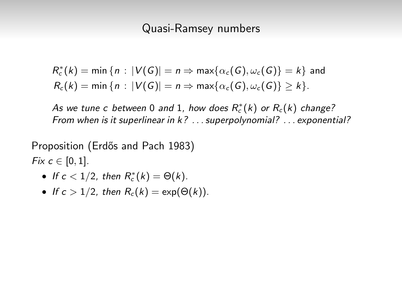$$
R_c^*(k) = \min \{ n : |V(G)| = n \Rightarrow \max \{ \alpha_c(G), \omega_c(G) \} = k \}
$$
 and  

$$
R_c(k) = \min \{ n : |V(G)| = n \Rightarrow \max \{ \alpha_c(G), \omega_c(G) \} \ge k \}.
$$

As we tune c between 0 and 1, how does  $R_c^*(k)$  or  $R_c(k)$  change? From when is it superlinear in k? . . . superpolynomial? . . . exponential?

Proposition (Erdős and Pach 1983) Fix  $c \in [0, 1]$ .

- If  $c < 1/2$ , then  $R_c^*(k) = \Theta(k)$ .
- If  $c > 1/2$ , then  $R_c(k) = \exp(\Theta(k))$ .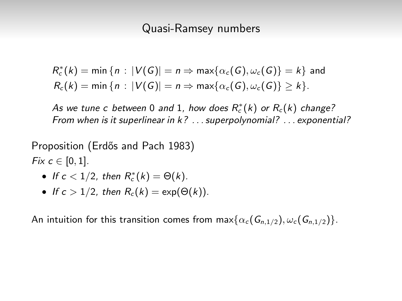$$
R_c^*(k) = \min \{ n : |V(G)| = n \Rightarrow \max \{ \alpha_c(G), \omega_c(G) \} = k \}
$$
 and  

$$
R_c(k) = \min \{ n : |V(G)| = n \Rightarrow \max \{ \alpha_c(G), \omega_c(G) \} \ge k \}.
$$

As we tune c between 0 and 1, how does  $R_c^*(k)$  or  $R_c(k)$  change? From when is it superlinear in k? . . . superpolynomial? . . . exponential?

Proposition (Erdős and Pach 1983) Fix  $c \in [0, 1]$ .

- If  $c < 1/2$ , then  $R_c^*(k) = \Theta(k)$ .
- If  $c > 1/2$ , then  $R_c(k) = \exp(\Theta(k))$ .

An intuition for this transition comes from  $\max{\{\alpha_c(G_{n,1/2}), \omega_c(G_{n,1/2})\}}$ .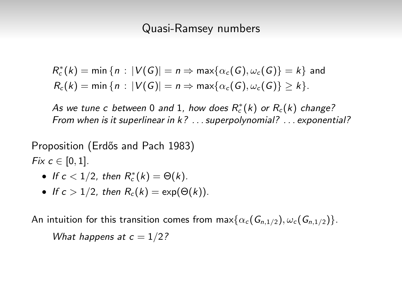$$
R_c^*(k) = \min \{ n : |V(G)| = n \Rightarrow \max \{ \alpha_c(G), \omega_c(G) \} = k \}
$$
 and  

$$
R_c(k) = \min \{ n : |V(G)| = n \Rightarrow \max \{ \alpha_c(G), \omega_c(G) \} \ge k \}.
$$

As we tune c between 0 and 1, how does  $R_c^*(k)$  or  $R_c(k)$  change? From when is it superlinear in k? . . . superpolynomial? . . . exponential?

Proposition (Erdős and Pach 1983) Fix  $c \in [0, 1]$ .

- If  $c < 1/2$ , then  $R_c^*(k) = \Theta(k)$ .
- If  $c > 1/2$ , then  $R_c(k) = \exp(\Theta(k))$ .

An intuition for this transition comes from  $\max{\{\alpha_c(G_{n,1/2}), \omega_c(G_{n,1/2})\}}$ .

What happens at  $c = 1/2$ ?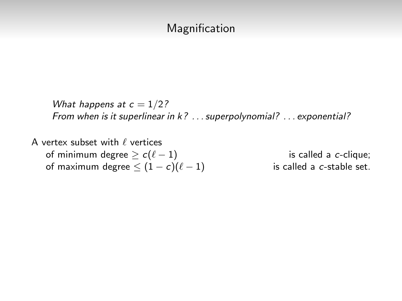### Magnification

What happens at  $c = 1/2$ ? From when is it superlinear in k? . . . superpolynomial? . . . exponential?

A vertex subset with  $\ell$  vertices of minimum degree  $\geq c(\ell - 1)$  is called a c-clique; of maximum degree  $\leq (1 - c)(\ell - 1)$  is called a c-stable set.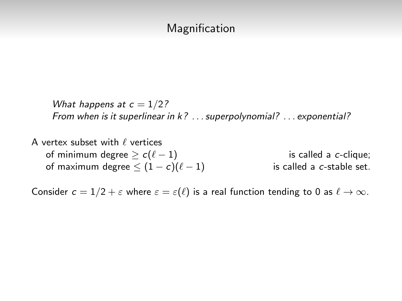### Magnification

What happens at  $c = 1/2$ ? From when is it superlinear in k? . . . superpolynomial? . . . exponential?

A vertex subset with  $\ell$  vertices of minimum degree  $\geq c(\ell - 1)$  is called a c-clique; of maximum degree  $\leq (1 - c)(\ell - 1)$  is called a c-stable set.

Consider  $c = 1/2 + \varepsilon$  where  $\varepsilon = \varepsilon(\ell)$  is a real function tending to 0 as  $\ell \to \infty$ .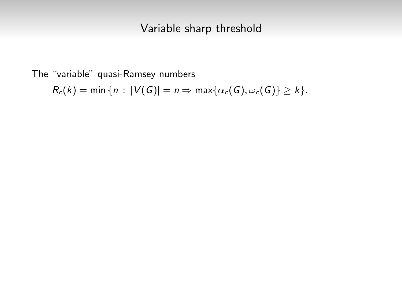The "variable" quasi-Ramsey numbers

$$
R_c(k) = \min \{ n : |V(G)| = n \Rightarrow \max \{ \alpha_c(G), \omega_c(G) \} \ge k \}.
$$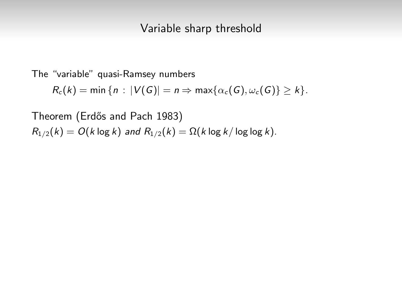The "variable" quasi-Ramsey numbers

 $R_c(k) = \min \{ n : |V(G)| = n \Rightarrow \max \{ \alpha_c(G), \omega_c(G) \} \ge k \}.$ 

Theorem (Erdős and Pach 1983)  $R_{1/2}(k) = O(k \log k)$  and  $R_{1/2}(k) = \Omega(k \log k / \log \log k)$ .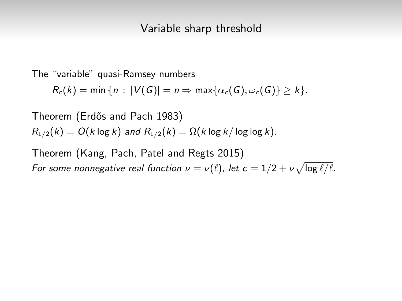The "variable" quasi-Ramsey numbers

 $R_c(k) = \min\{n : |V(G)| = n \Rightarrow \max\{\alpha_c(G), \omega_c(G)\} > k\}.$ 

Theorem (Erdős and Pach 1983)  $R_{1/2}(k) = O(k \log k)$  and  $R_{1/2}(k) = \Omega(k \log k / \log \log k)$ .

Theorem (Kang, Pach, Patel and Regts 2015) For some nonnegative real function  $\nu = \nu(\ell)$ , let  $c = 1/2 + \nu \sqrt{\log \ell/\ell}$ .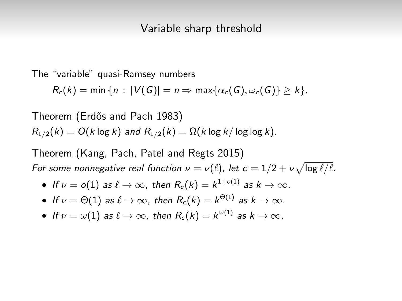The "variable" quasi-Ramsey numbers

 $R_c(k) = \min \{n : |V(G)| = n \Rightarrow \max \{\alpha_c(G), \omega_c(G)\} > k\}.$ 

Theorem (Erdős and Pach 1983)  $R_{1/2}(k) = O(k \log k)$  and  $R_{1/2}(k) = \Omega(k \log k / \log \log k)$ .

Theorem (Kang, Pach, Patel and Regts 2015) For some nonnegative real function  $\nu = \nu(\ell)$ , let  $c = 1/2 + \nu \sqrt{\log \ell/\ell}$ .

• If 
$$
\nu = o(1)
$$
 as  $\ell \to \infty$ , then  $R_c(k) = k^{1+o(1)}$  as  $k \to \infty$ .

- $\bullet$  If  $\nu=\Theta(1)$  as  $\ell\to\infty$ , then  $R_c(k)=k^{\Theta(1)}$  as  $k\to\infty.$
- $\bullet$  If  $\nu = \omega(1)$  as  $\ell \to \infty$ , then  $R_c(k) = k^{\omega(1)}$  as  $k \to \infty.$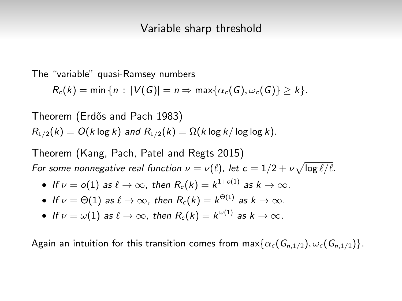The "variable" quasi-Ramsey numbers

 $R_c(k) = \min \{n : |V(G)| = n \Rightarrow \max \{\alpha_c(G), \omega_c(G)\} > k\}.$ 

Theorem (Erdős and Pach 1983)  $R_{1/2}(k) = O(k \log k)$  and  $R_{1/2}(k) = \Omega(k \log k / \log \log k)$ .

Theorem (Kang, Pach, Patel and Regts 2015) For some nonnegative real function  $\nu = \nu(\ell)$ , let  $c = 1/2 + \nu \sqrt{\log \ell/\ell}$ .

• If 
$$
\nu = o(1)
$$
 as  $\ell \to \infty$ , then  $R_c(k) = k^{1+o(1)}$  as  $k \to \infty$ .

- $\bullet$  If  $\nu=\Theta(1)$  as  $\ell\to\infty$ , then  $R_c(k)=k^{\Theta(1)}$  as  $k\to\infty.$
- $\bullet$  If  $\nu = \omega(1)$  as  $\ell \to \infty$ , then  $R_c(k) = k^{\omega(1)}$  as  $k \to \infty.$

Again an intuition for this transition comes from  $\max{\{\alpha_c(G_{n,1/2}), \omega_c(G_{n,1/2})\}}$ .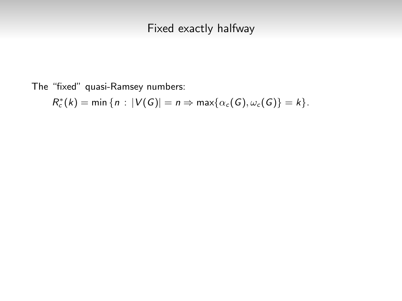# Fixed exactly halfway

The "fixed" quasi-Ramsey numbers:

$$
R_c^*(k) = \min \{ n : |V(G)| = n \Rightarrow \max \{ \alpha_c(G), \omega_c(G) \} = k \}.
$$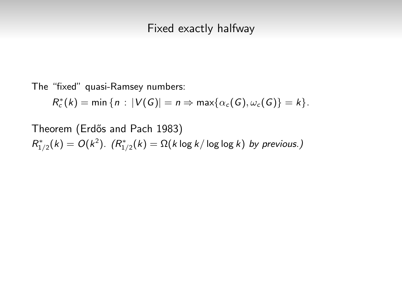The "fixed" quasi-Ramsey numbers:

$$
R_c^*(k) = \min \{ n : |V(G)| = n \Rightarrow \max \{ \alpha_c(G), \omega_c(G) \} = k \}.
$$

Theorem (Erdős and Pach 1983)  $R^*_{1/2}(k) = O(k^2)$ .  $(R^*_{1/2}(k) = \Omega(k \log k / \log \log k)$  by previous.)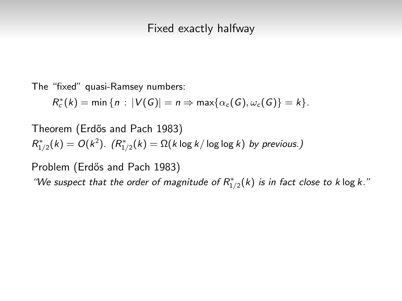The "fixed" quasi-Ramsey numbers:

$$
R_c^*(k) = \min \{ n : |V(G)| = n \Rightarrow \max \{ \alpha_c(G), \omega_c(G) \} = k \}.
$$

Theorem (Erdős and Pach 1983)  $R^*_{1/2}(k) = O(k^2)$ .  $(R^*_{1/2}(k) = \Omega(k \log k / \log \log k)$  by previous.)

Problem (Erdős and Pach 1983)

"We suspect that the order of magnitude of  $R^*_{1/2}(k)$  is in fact close to k log k."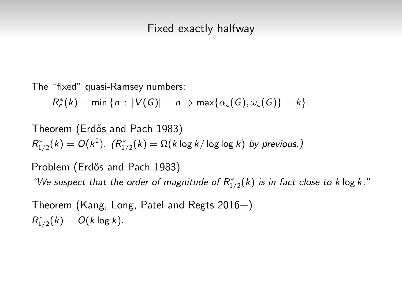The "fixed" quasi-Ramsey numbers:

$$
R_c^*(k) = \min \{ n : |V(G)| = n \Rightarrow \max \{ \alpha_c(G), \omega_c(G) \} = k \}.
$$

Theorem (Erd˝os and Pach 1983)  $R^*_{1/2}(k) = O(k^2)$ .  $(R^*_{1/2}(k) = \Omega(k \log k / \log \log k)$  by previous.)

Problem (Erdős and Pach 1983) "We suspect that the order of magnitude of  $R^*_{1/2}(k)$  is in fact close to k log k."

Theorem (Kang, Long, Patel and Regts 2016+)  $R_{1/2}^*(k) = O(k \log k).$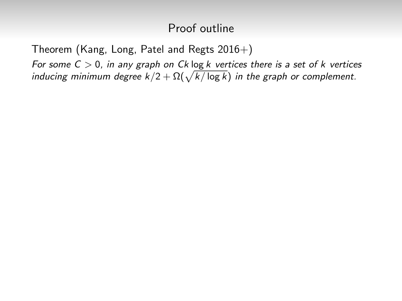Theorem (Kang, Long, Patel and Regts  $2016+$ )

For some  $C > 0$ , in any graph on Ck log k vertices there is a set of k vertices inducing minimum degree  $k/2 + \Omega(\sqrt{k/\log k})$  in the graph or complement.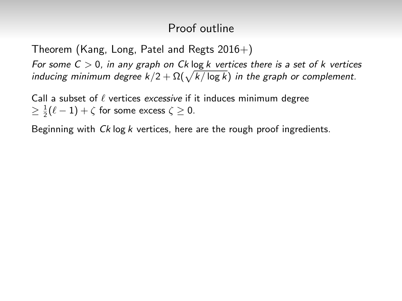Theorem (Kang, Long, Patel and Regts 2016+)

For some  $C > 0$ , in any graph on Ck log k vertices there is a set of k vertices inducing minimum degree  $k/2 + \Omega(\sqrt{k/\log k})$  in the graph or complement.

Call a subset of  $\ell$  vertices excessive if it induces minimum degree  $\geq \frac{1}{2}(\ell-1)+\zeta$  for some excess  $\zeta \geq 0$ .

Beginning with Ck log k vertices, here are the rough proof ingredients.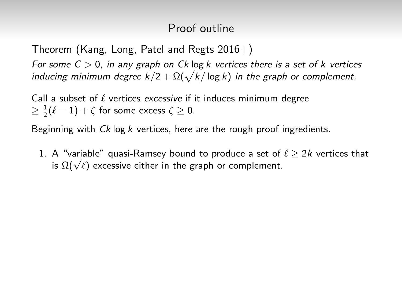Theorem (Kang, Long, Patel and Regts 2016+)

For some  $C > 0$ , in any graph on Ck log k vertices there is a set of k vertices inducing minimum degree  $k/2 + \Omega(\sqrt{k/\log k})$  in the graph or complement.

Call a subset of  $\ell$  vertices excessive if it induces minimum degree  $\geq \frac{1}{2}(\ell-1)+\zeta$  for some excess  $\zeta \geq 0$ .

Beginning with  $C_k$  log k vertices, here are the rough proof ingredients.

1. A "variable" quasi-Ramsey bound to produce a set of  $\ell > 2k$  vertices that A variable quasi-Ramsey bound to produce a set or<br>is  $\Omega(\sqrt{\ell})$  excessive either in the graph or complement.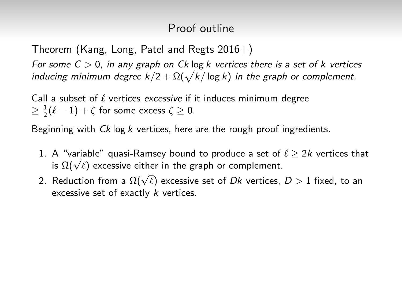Theorem (Kang, Long, Patel and Regts  $2016+$ )

For some  $C > 0$ , in any graph on Ck log k vertices there is a set of k vertices inducing minimum degree  $k/2 + \Omega(\sqrt{k/\log k})$  in the graph or complement.

Call a subset of  $\ell$  vertices excessive if it induces minimum degree  $\geq \frac{1}{2}(\ell-1)+\zeta$  for some excess  $\zeta \geq 0$ .

Beginning with  $C_k$  log k vertices, here are the rough proof ingredients.

- 1. A "variable" quasi-Ramsey bound to produce a set of  $\ell > 2k$  vertices that A variable quasi-Ramsey bound to produce a set or<br>is  $\Omega(\sqrt{\ell})$  excessive either in the graph or complement.
- $2.$  Reduction from a  $\Omega(\sqrt{\ell})$  excessive set of Dk vertices,  $D > 1$  fixed, to an excessive set of exactly k vertices.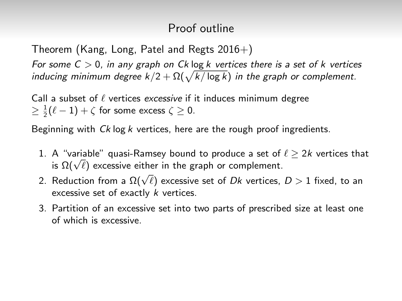Theorem (Kang, Long, Patel and Regts  $2016+$ )

For some  $C > 0$ , in any graph on Ck log k vertices there is a set of k vertices inducing minimum degree  $k/2 + \Omega(\sqrt{k/\log k})$  in the graph or complement.

Call a subset of  $\ell$  vertices excessive if it induces minimum degree  $\geq \frac{1}{2}(\ell-1)+\zeta$  for some excess  $\zeta \geq 0$ .

Beginning with  $C_k$  log k vertices, here are the rough proof ingredients.

- 1. A "variable" quasi-Ramsey bound to produce a set of  $\ell > 2k$  vertices that A variable quasi-Ramsey bound to produce a set or<br>is  $\Omega(\sqrt{\ell})$  excessive either in the graph or complement.
- $2.$  Reduction from a  $\Omega(\sqrt{\ell})$  excessive set of Dk vertices,  $D > 1$  fixed, to an excessive set of exactly k vertices.
- 3. Partition of an excessive set into two parts of prescribed size at least one of which is excessive.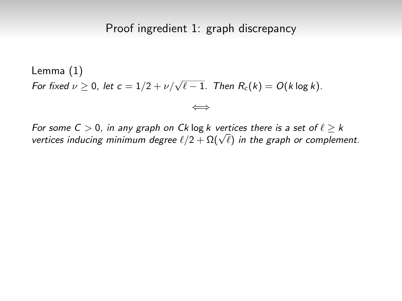Lemma (1) For fixed  $\nu \geq 0$ , let  $c = 1/2 + \nu/\sqrt{\ell - 1}$ . Then  $R_c(k) = O(k \log k)$ .

For some  $C > 0$ , in any graph on Ck log k vertices there is a set of  $\ell \geq k$ For some C > 0, in any graph on Ck log k vertices there is a set or  $\ell \geq \kappa$ <br>vertices inducing minimum degree  $\ell/2 + \Omega(\sqrt{\ell})$  in the graph or complement.

⇐⇒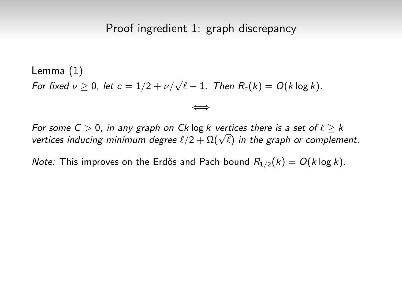Lemma (1) For fixed  $\nu \geq 0$ , let  $c = 1/2 + \nu/\sqrt{\ell - 1}$ . Then  $R_c(k) = O(k \log k)$ .

For some  $C > 0$ , in any graph on Ck log k vertices there is a set of  $\ell \geq k$ For some C > 0, in any graph on Ck log k vertices there is a set or  $\ell \geq \kappa$ <br>vertices inducing minimum degree  $\ell/2 + \Omega(\sqrt{\ell})$  in the graph or complement.

⇐⇒

*Note:* This improves on the Erdős and Pach bound  $R_{1/2}(k) = O(k \log k)$ .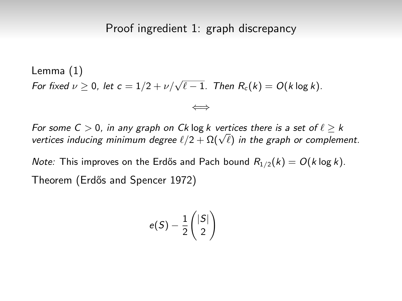Lemma (1) For fixed  $\nu \geq 0$ , let  $c = 1/2 + \nu/\sqrt{\ell - 1}$ . Then  $R_c(k) = O(k \log k)$ .

For some  $C > 0$ , in any graph on Ck log k vertices there is a set of  $\ell \geq k$ For some C > 0, in any graph on Ck log k vertices there is a set or  $\ell \geq \kappa$ <br>vertices inducing minimum degree  $\ell/2 + \Omega(\sqrt{\ell})$  in the graph or complement.

⇐⇒

*Note:* This improves on the Erdős and Pach bound  $R_{1/2}(k) = O(k \log k)$ . Theorem (Erdős and Spencer 1972)

$$
e(S) - \frac{1}{2}\binom{|S|}{2}
$$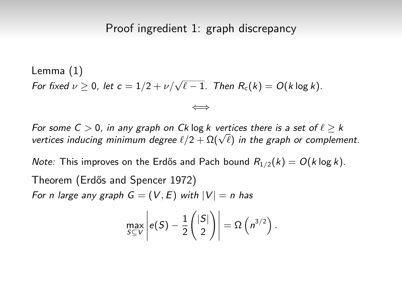Lemma (1) For fixed  $\nu \geq 0$ , let  $c = 1/2 + \nu/\sqrt{\ell - 1}$ . Then  $R_c(k) = O(k \log k)$ .

For some  $C > 0$ , in any graph on Ck log k vertices there is a set of  $\ell \geq k$ For some C > 0, in any graph on Ck log k vertices there is a set or  $\ell \geq \kappa$ <br>vertices inducing minimum degree  $\ell/2 + \Omega(\sqrt{\ell})$  in the graph or complement.

⇐⇒

*Note:* This improves on the Erdős and Pach bound  $R_{1/2}(k) = O(k \log k)$ . Theorem (Erdős and Spencer 1972) For n large any graph  $G = (V, E)$  with  $|V| = n$  has

$$
\max_{S \subseteq V} \left| e(S) - \frac{1}{2} \binom{|S|}{2} \right| = \Omega \left( n^{3/2} \right).
$$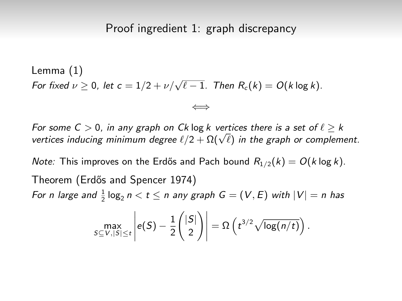### Proof ingredient 1: graph discrepancy

Lemma (1) For fixed  $\nu \geq 0$ , let  $c = 1/2 + \nu/\sqrt{\ell - 1}$ . Then  $R_c(k) = O(k \log k)$ .

For some  $C > 0$ , in any graph on Ck log k vertices there is a set of  $\ell > k$ For some  $c > 0$ , in any graph on Ck log k vertices there is a set or  $\ell \geq \kappa$ <br>vertices inducing minimum degree  $\ell/2 + \Omega(\sqrt{\ell})$  in the graph or complement.

⇐⇒

*Note:* This improves on the Erdős and Pach bound  $R_{1/2}(k) = O(k \log k)$ . Theorem (Erdős and Spencer 1974) For n large and  $\frac{1}{2} \log_2 n < t \le n$  any graph  $G = (V, E)$  with  $|V| = n$  has

$$
\max_{S \subseteq V, |S| \leq t} \left| e(S) - \frac{1}{2} \binom{|S|}{2} \right| = \Omega \left( t^{3/2} \sqrt{\log(n/t)} \right).
$$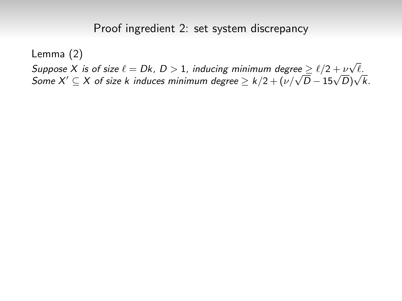Lemma (2)

 $\mathcal{S}$ uppose X is of size  $\ell = Dk$ ,  $D > 1$ , inducing minimum degree  $\geq \ell/2 + \nu\sqrt{\ell}.$ Suppose  $\lambda$  is or size  $\ell = D\kappa$ ,  $D > 1$ , inducing minimum degree  $\geq \ell/2 + \ell \sqrt{D} - 15\sqrt{D}\sqrt{\kappa}$ .<br>Some  $X' \subseteq X$  of size k induces minimum degree  $\geq k/2 + (\nu/\sqrt{D} - 15\sqrt{D})\sqrt{k}$ .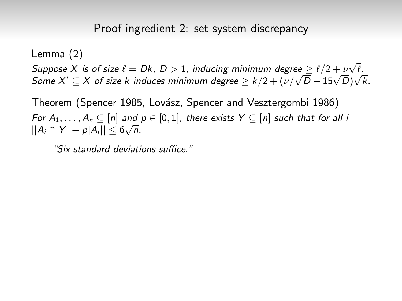Lemma (2)

 $\mathcal{S}$ uppose X is of size  $\ell = Dk$ ,  $D > 1$ , inducing minimum degree  $\geq \ell/2 + \nu\sqrt{\ell}.$ Suppose  $\lambda$  is or size  $\ell = D\kappa$ ,  $D > 1$ , inducing minimum degree  $\geq \ell/2 + \ell \sqrt{D} - 15\sqrt{D}\sqrt{\kappa}$ .<br>Some  $X' \subseteq X$  of size k induces minimum degree  $\geq k/2 + (\nu/\sqrt{D} - 15\sqrt{D})\sqrt{k}$ .

Theorem (Spencer 1985, Lovász, Spencer and Vesztergombi 1986) For  $A_1, \ldots, A_n \subseteq [n]$  and  $p \in [0,1]$ , there exists  $Y \subseteq [n]$  such that for all i  $||A_i \cap Y| - p|A_i|| \leq 6\sqrt{n}.$ 

"Six standard deviations suffice."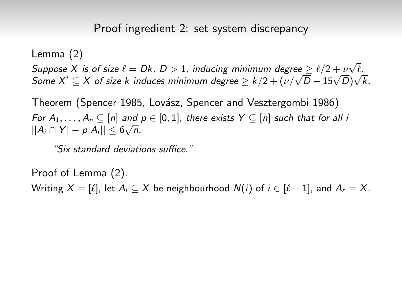Lemma (2)

 $\mathcal{S}$ uppose X is of size  $\ell = Dk$ ,  $D > 1$ , inducing minimum degree  $\geq \ell/2 + \nu\sqrt{\ell}.$ Suppose  $\lambda$  is or size  $\ell = D\kappa$ ,  $D > 1$ , inducing minimum degree  $\geq \ell/2 + \ell \sqrt{D} - 15\sqrt{D}\sqrt{\kappa}$ .<br>Some  $X' \subseteq X$  of size k induces minimum degree  $\geq k/2 + (\nu/\sqrt{D} - 15\sqrt{D})\sqrt{k}$ .

Theorem (Spencer 1985, Lovász, Spencer and Vesztergombi 1986) For  $A_1, \ldots, A_n \subseteq [n]$  and  $p \in [0,1]$ , there exists  $Y \subseteq [n]$  such that for all i  $||A_i \cap Y| - p|A_i|| \leq 6\sqrt{n}.$ 

"Six standard deviations suffice."

Proof of Lemma (2). Writing  $X = [\ell]$ , let  $A_i \subset X$  be neighbourhood  $N(i)$  of  $i \in [\ell - 1]$ , and  $A_\ell = X$ .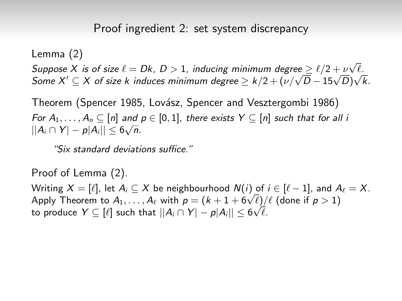Lemma (2)

 $\mathcal{S}$ uppose X is of size  $\ell = Dk$ ,  $D > 1$ , inducing minimum degree  $\geq \ell/2 + \nu\sqrt{\ell}.$ Suppose  $\lambda$  is or size  $\ell = D\kappa$ ,  $D > 1$ , inducing minimum degree  $\geq \ell/2 + \ell \sqrt{D} - 15\sqrt{D}\sqrt{\kappa}$ .<br>Some  $X' \subseteq X$  of size k induces minimum degree  $\geq k/2 + (\nu/\sqrt{D} - 15\sqrt{D})\sqrt{k}$ .

Theorem (Spencer 1985, Lovász, Spencer and Vesztergombi 1986) For  $A_1, \ldots, A_n \subseteq [n]$  and  $p \in [0,1]$ , there exists  $Y \subseteq [n]$  such that for all i  $||A_i \cap Y| - p|A_i|| \leq 6\sqrt{n}.$ 

"Six standard deviations suffice."

Proof of Lemma (2).

Writing  $X = [\ell]$ , let  $A_i \subseteq X$  be neighbourhood  $N(i)$  of  $i \in [\ell - 1]$ , and  $A_\ell = X$ . Writing  $\lambda = [\ell]$ , let  $A_i \subseteq \lambda$  be heighbourhood  $N(t)$  of  $t \in [\ell - 1]$ , and  $A$ <br>Apply Theorem to  $A_1, \ldots, A_\ell$  with  $p = (k + 1 + 6\sqrt{\ell})/\ell$  (done if  $p > 1$ ) to produce  $Y\subseteq [\ell]$  such that  $||A_i\cap Y|-p|A_i||\leq 6\sqrt{\ell}.$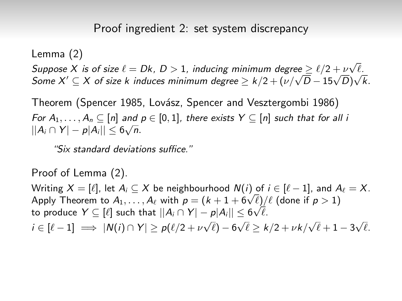Lemma (2)

Suppose X is of size  $\ell = Dk$ ,  $D > 1$ , inducing minimum degree  $\geq \ell/2 + \nu\sqrt{\ell}$ . Suppose  $\lambda$  is or size  $\ell = D\kappa$ ,  $D > 1$ , inducing minimum degree  $\geq \ell/2 + \ell \sqrt{D} - 15\sqrt{D}\sqrt{\kappa}$ .<br>Some  $X' \subseteq X$  of size k induces minimum degree  $\geq k/2 + (\nu/\sqrt{D} - 15\sqrt{D})\sqrt{k}$ .

Theorem (Spencer 1985, Lovász, Spencer and Vesztergombi 1986) For  $A_1, \ldots, A_n \subseteq [n]$  and  $p \in [0,1]$ , there exists  $Y \subseteq [n]$  such that for all i  $||A_i \cap Y| - p|A_i|| \leq 6\sqrt{n}.$ 

"Six standard deviations suffice."

Proof of Lemma (2).

Writing  $X = [\ell]$ , let  $A_i \subseteq X$  be neighbourhood  $N(i)$  of  $i \in [\ell - 1]$ , and  $A_\ell = X$ . Writing  $\lambda = [\ell]$ , let  $A_i \subseteq \lambda$  be heighbourhood  $N(t)$  of  $t \in [\ell - 1]$ , and  $A$ <br>Apply Theorem to  $A_1, \ldots, A_\ell$  with  $p = (k + 1 + 6\sqrt{\ell})/\ell$  (done if  $p > 1$ ) to produce  $Y\subseteq [\ell]$  such that  $||A_i\cap Y|-p|A_i||\leq 6\sqrt{\ell}.$  $i \in [\ell - 1] \implies |N(i) \cap Y| \geq p(\ell/2 + \nu\sqrt{\ell}) - 6\sqrt{\ell} \geq k/2 + \nu k/\sqrt{\ell} + 1 - 3\sqrt{\ell}.$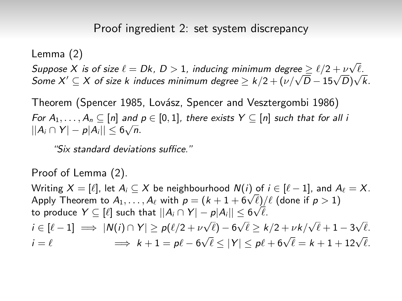Lemma (2)

Suppose X is of size  $\ell = Dk$ ,  $D > 1$ , inducing minimum degree  $\geq \ell/2 + \nu\sqrt{\ell}$ . Suppose  $\lambda$  is or size  $\ell = D\kappa$ ,  $D > 1$ , inducing minimum degree  $\geq \ell/2 + \ell \sqrt{D} - 15\sqrt{D}\sqrt{\kappa}$ .<br>Some  $X' \subseteq X$  of size k induces minimum degree  $\geq k/2 + (\nu/\sqrt{D} - 15\sqrt{D})\sqrt{k}$ .

Theorem (Spencer 1985, Lovász, Spencer and Vesztergombi 1986) For  $A_1, \ldots, A_n \subseteq [n]$  and  $p \in [0,1]$ , there exists  $Y \subseteq [n]$  such that for all i  $||A_i \cap Y| - p|A_i|| \leq 6\sqrt{n}.$ 

"Six standard deviations suffice."

Proof of Lemma (2).

Writing  $X = [\ell]$ , let  $A_i \subseteq X$  be neighbourhood  $N(i)$  of  $i \in [\ell - 1]$ , and  $A_\ell = X$ . Writing  $\lambda = [\ell]$ , let  $A_i \subseteq \lambda$  be heighbourhood  $N(t)$  of  $t \in [\ell - 1]$ , and  $A$ <br>Apply Theorem to  $A_1, \ldots, A_\ell$  with  $p = (k + 1 + 6\sqrt{\ell})/\ell$  (done if  $p > 1$ ) to produce  $Y\subseteq [\ell]$  such that  $||A_i\cap Y|-p|A_i||\leq 6\sqrt{\ell}.$  $i \in [\ell - 1] \implies |N(i) \cap Y| \geq p(\ell/2 + \nu\sqrt{\ell}) - 6\sqrt{\ell} \geq k/2 + \nu k/\sqrt{\ell} + 1 - 3\sqrt{\ell}.$  $i = \ell$   $\implies k + 1 = p\ell - 6\sqrt{\ell} \le |Y| \le p\ell + 6\sqrt{\ell} = k + 1 + 12\sqrt{\ell}.$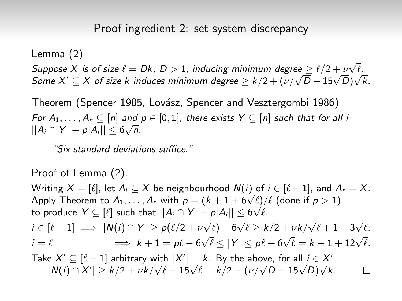Lemma (2)

Suppose X is of size  $\ell = Dk$ ,  $D > 1$ , inducing minimum degree  $\geq \ell/2 + \nu\sqrt{\ell}$ . Suppose  $\lambda$  is or size  $\ell = D\kappa$ ,  $D > 1$ , inducing minimum degree  $\geq \ell/2 + \ell \sqrt{D} - 15\sqrt{D}\sqrt{\kappa}$ .<br>Some  $X' \subseteq X$  of size k induces minimum degree  $\geq k/2 + (\nu/\sqrt{D} - 15\sqrt{D})\sqrt{k}$ .

Theorem (Spencer 1985, Lovász, Spencer and Vesztergombi 1986) For  $A_1, \ldots, A_n \subseteq [n]$  and  $p \in [0,1]$ , there exists  $Y \subseteq [n]$  such that for all i  $||A_i \cap Y| - p|A_i|| \leq 6\sqrt{n}.$ 

"Six standard deviations suffice."

Proof of Lemma (2).

Writing  $X = [\ell]$ , let  $A_i \subseteq X$  be neighbourhood  $N(i)$  of  $i \in [\ell - 1]$ , and  $A_\ell = X$ . Writing  $\lambda = [\ell]$ , let  $A_i \subseteq \lambda$  be heighbourhood  $N(t)$  of  $t \in [\ell - 1]$ , and  $A$ <br>Apply Theorem to  $A_1, \ldots, A_\ell$  with  $p = (k + 1 + 6\sqrt{\ell})/\ell$  (done if  $p > 1$ ) to produce  $Y\subseteq [\ell]$  such that  $||A_i\cap Y|-p|A_i||\leq 6\sqrt{\ell}.$  $i \in [\ell - 1] \implies |N(i) \cap Y| \geq p(\ell/2 + \nu\sqrt{\ell}) - 6\sqrt{\ell} \geq k/2 + \nu k/\sqrt{\ell} + 1 - 3\sqrt{\ell}.$  $i = \ell$   $\implies k + 1 = p\ell - 6\sqrt{\ell} \le |Y| \le p\ell + 6\sqrt{\ell} = k + 1 + 12\sqrt{\ell}.$ Take  $X' \subseteq [\ell - 1]$  arbitrary with  $|X'| = k$ . By the above, for all  $i \in X'$  $\vert N \vert \geq \vert \ell-1 \vert$  arbitrary with  $\vert A \vert = \vert K$ . By the above, for all  $I \in A$ <br> $\vert N(i) \cap X' \vert \geq k/2 + \nu k/\sqrt{\ell} - 15\sqrt{\ell} = k/2 + (\nu/\sqrt{D} - 15\sqrt{D})\sqrt{k}$ .  $\Box$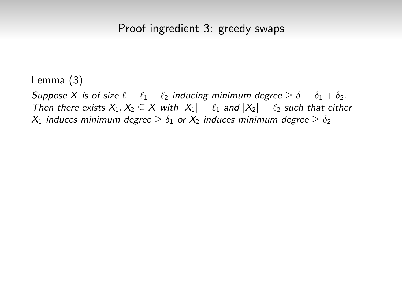Suppose X is of size  $\ell = \ell_1 + \ell_2$  inducing minimum degree  $\geq \delta = \delta_1 + \delta_2$ . Then there exists  $X_1, X_2 \subseteq X$  with  $|X_1| = \ell_1$  and  $|X_2| = \ell_2$  such that either  $X_1$  induces minimum degree  $> \delta_1$  or  $X_2$  induces minimum degree  $> \delta_2$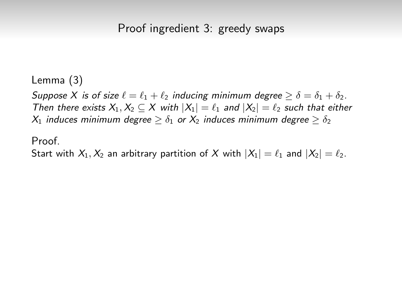Suppose X is of size  $\ell = \ell_1 + \ell_2$  inducing minimum degree  $\geq \delta = \delta_1 + \delta_2$ . Then there exists  $X_1, X_2 \subseteq X$  with  $|X_1| = \ell_1$  and  $|X_2| = \ell_2$  such that either  $X_1$  induces minimum degree  $\geq \delta_1$  or  $X_2$  induces minimum degree  $\geq \delta_2$ 

#### Proof.

Start with  $X_1, X_2$  an arbitrary partition of X with  $|X_1| = \ell_1$  and  $|X_2| = \ell_2$ .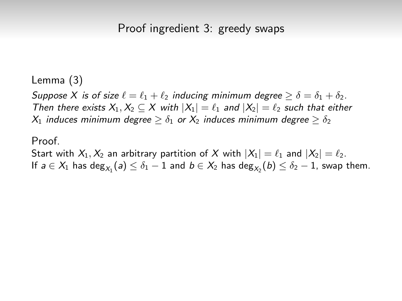Suppose X is of size  $\ell = \ell_1 + \ell_2$  inducing minimum degree  $\geq \delta = \delta_1 + \delta_2$ . Then there exists  $X_1, X_2 \subseteq X$  with  $|X_1| = \ell_1$  and  $|X_2| = \ell_2$  such that either  $X_1$  induces minimum degree  $\geq \delta_1$  or  $X_2$  induces minimum degree  $\geq \delta_2$ 

### Proof.

Start with  $X_1, X_2$  an arbitrary partition of X with  $|X_1| = \ell_1$  and  $|X_2| = \ell_2$ . If  $a\in X_1$  has  $\deg_{X_1}(a)\leq \delta_1-1$  and  $b\in X_2$  has  $\deg_{X_2}(b)\leq \delta_2-1$ , swap them.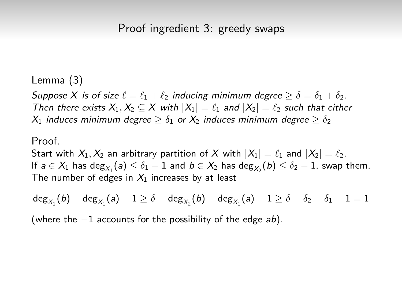Suppose X is of size  $\ell = \ell_1 + \ell_2$  inducing minimum degree  $\geq \delta = \delta_1 + \delta_2$ . Then there exists  $X_1, X_2 \subseteq X$  with  $|X_1| = \ell_1$  and  $|X_2| = \ell_2$  such that either  $X_1$  induces minimum degree  $\geq \delta_1$  or  $X_2$  induces minimum degree  $\geq \delta_2$ 

### Proof

Start with  $X_1, X_2$  an arbitrary partition of X with  $|X_1| = \ell_1$  and  $|X_2| = \ell_2$ . If  $a\in X_1$  has  $\deg_{X_1}(a)\leq \delta_1-1$  and  $b\in X_2$  has  $\deg_{X_2}(b)\leq \delta_2-1$ , swap them. The number of edges in  $X_1$  increases by at least

$$
\mathsf{deg}_{X_1}(\mathit{b}) - \mathsf{deg}_{X_1}(\mathit{a}) - 1 \geq \delta - \mathsf{deg}_{X_2}(\mathit{b}) - \mathsf{deg}_{X_1}(\mathit{a}) - 1 \geq \delta - \delta_2 - \delta_1 + 1 = 1
$$

(where the  $-1$  accounts for the possibility of the edge ab).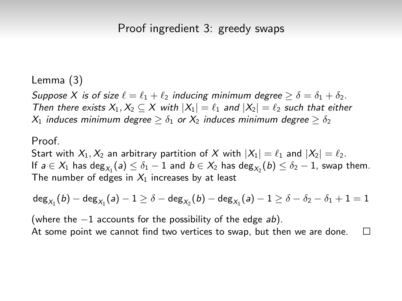Suppose X is of size  $\ell = \ell_1 + \ell_2$  inducing minimum degree  $\geq \delta = \delta_1 + \delta_2$ . Then there exists  $X_1, X_2 \subseteq X$  with  $|X_1| = \ell_1$  and  $|X_2| = \ell_2$  such that either  $X_1$  induces minimum degree  $\geq \delta_1$  or  $X_2$  induces minimum degree  $\geq \delta_2$ 

### Proof

Start with  $X_1, X_2$  an arbitrary partition of X with  $|X_1| = \ell_1$  and  $|X_2| = \ell_2$ . If  $a\in X_1$  has  $\deg_{X_1}(a)\leq \delta_1-1$  and  $b\in X_2$  has  $\deg_{X_2}(b)\leq \delta_2-1$ , swap them. The number of edges in  $X_1$  increases by at least

$$
\mathsf{deg}_{X_1}(\mathit{b}) - \mathsf{deg}_{X_1}(\mathit{a}) - 1 \geq \delta - \mathsf{deg}_{X_2}(\mathit{b}) - \mathsf{deg}_{X_1}(\mathit{a}) - 1 \geq \delta - \delta_2 - \delta_1 + 1 = 1
$$

(where the  $-1$  accounts for the possibility of the edge ab). At some point we cannot find two vertices to swap, but then we are done. $\Box$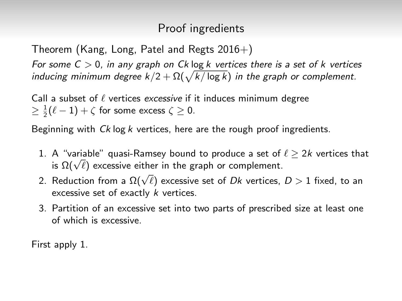# Proof ingredients

Theorem (Kang, Long, Patel and Regts  $2016+$ )

For some  $C > 0$ , in any graph on Ck log k vertices there is a set of k vertices inducing minimum degree  $k/2 + \Omega(\sqrt{k/\log k})$  in the graph or complement.

Call a subset of  $\ell$  vertices excessive if it induces minimum degree  $\geq \frac{1}{2}(\ell-1)+\zeta$  for some excess  $\zeta \geq 0$ .

Beginning with  $C_k$  log k vertices, here are the rough proof ingredients.

- 1. A "variable" quasi-Ramsey bound to produce a set of  $\ell > 2k$  vertices that A variable quasi-Ramsey bound to produce a set or<br>is  $\Omega(\sqrt{\ell})$  excessive either in the graph or complement.
- $2.$  Reduction from a  $\Omega(\sqrt{\ell})$  excessive set of Dk vertices,  $D > 1$  fixed, to an excessive set of exactly k vertices.
- 3. Partition of an excessive set into two parts of prescribed size at least one of which is excessive.

First apply 1.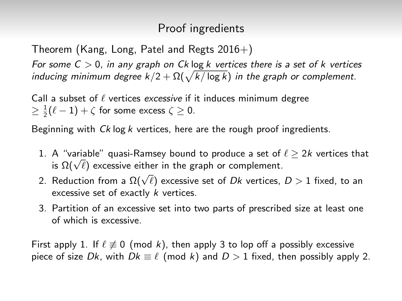# Proof ingredients

Theorem (Kang, Long, Patel and Regts  $2016+$ )

For some  $C > 0$ , in any graph on Ck log k vertices there is a set of k vertices inducing minimum degree  $k/2 + \Omega(\sqrt{k/\log k})$  in the graph or complement.

Call a subset of  $\ell$  vertices excessive if it induces minimum degree  $\geq \frac{1}{2}(\ell-1)+\zeta$  for some excess  $\zeta \geq 0$ .

Beginning with  $C_k$  log k vertices, here are the rough proof ingredients.

- 1. A "variable" quasi-Ramsey bound to produce a set of  $\ell > 2k$  vertices that A variable quasi-Ramsey bound to produce a set or<br>is  $\Omega(\sqrt{\ell})$  excessive either in the graph or complement.
- $2.$  Reduction from a  $\Omega(\sqrt{\ell})$  excessive set of Dk vertices,  $D > 1$  fixed, to an excessive set of exactly k vertices.
- 3. Partition of an excessive set into two parts of prescribed size at least one of which is excessive.

First apply 1. If  $\ell \neq 0$  (mod k), then apply 3 to lop off a possibly excessive piece of size Dk, with  $Dk \equiv \ell \pmod{k}$  and  $D > 1$  fixed, then possibly apply 2.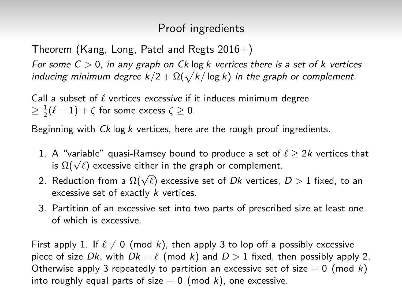# Proof ingredients

Theorem (Kang, Long, Patel and Regts  $2016+$ )

For some  $C > 0$ , in any graph on Ck log k vertices there is a set of k vertices inducing minimum degree  $k/2 + \Omega(\sqrt{k/\log k})$  in the graph or complement.

Call a subset of  $\ell$  vertices excessive if it induces minimum degree  $\geq \frac{1}{2}(\ell-1)+\zeta$  for some excess  $\zeta \geq 0$ .

Beginning with  $C_k$  log k vertices, here are the rough proof ingredients.

- 1. A "variable" quasi-Ramsey bound to produce a set of  $\ell \ge 2k$  vertices that A variable quasi-Ramsey bound to produce a set or<br>is  $\Omega(\sqrt{\ell})$  excessive either in the graph or complement.
- $2.$  Reduction from a  $\Omega(\sqrt{\ell})$  excessive set of Dk vertices,  $D > 1$  fixed, to an excessive set of exactly k vertices.
- 3. Partition of an excessive set into two parts of prescribed size at least one of which is excessive.

First apply 1. If  $\ell \neq 0$  (mod k), then apply 3 to lop off a possibly excessive piece of size Dk, with  $Dk \equiv \ell \pmod{k}$  and  $D > 1$  fixed, then possibly apply 2. Otherwise apply 3 repeatedly to partition an excessive set of size  $\equiv 0 \pmod{k}$ into roughly equal parts of size  $\equiv 0 \pmod{k}$ , one excessive.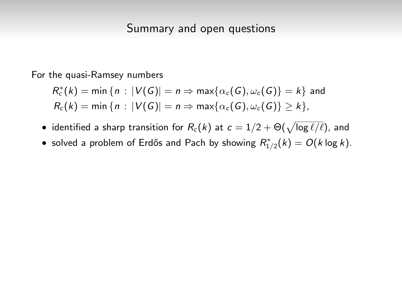For the quasi-Ramsey numbers

$$
R_c^*(k) = \min \{ n : |V(G)| = n \Rightarrow \max \{ \alpha_c(G), \omega_c(G) \} = k \} \text{ and}
$$
  

$$
R_c(k) = \min \{ n : |V(G)| = n \Rightarrow \max \{ \alpha_c(G), \omega_c(G) \} \ge k \},
$$

- $\bullet\,$  identified a sharp transition for  $R_c(k)$  at  $c=1/2+\Theta(\sqrt{\log \ell/\ell}),$  and
- solved a problem of Erdős and Pach by showing  $R^*_{1/2}(k) = O(k \log k)$ .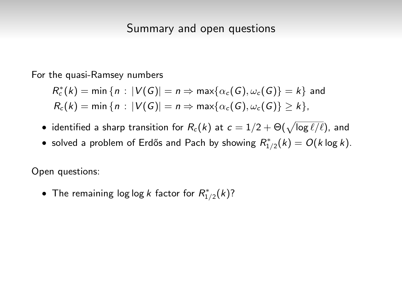For the quasi-Ramsey numbers

$$
R_c^*(k) = \min \{ n : |V(G)| = n \Rightarrow \max \{ \alpha_c(G), \omega_c(G) \} = k \} \text{ and}
$$
  

$$
R_c(k) = \min \{ n : |V(G)| = n \Rightarrow \max \{ \alpha_c(G), \omega_c(G) \} \ge k \},
$$

- $\bullet\,$  identified a sharp transition for  $R_c(k)$  at  $c=1/2+\Theta(\sqrt{\log \ell/\ell}),$  and
- solved a problem of Erdős and Pach by showing  $R^*_{1/2}(k) = O(k \log k)$ .

Open questions:

• The remaining log log k factor for  $R^*_{1/2}(k)$ ?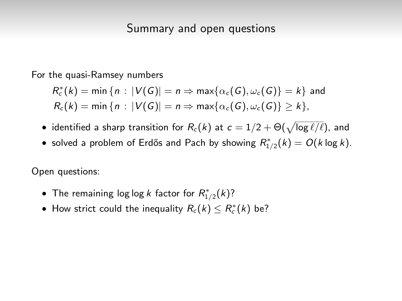For the quasi-Ramsey numbers

$$
R_c^*(k) = \min \{ n : |V(G)| = n \Rightarrow \max \{ \alpha_c(G), \omega_c(G) \} = k \} \text{ and}
$$
  

$$
R_c(k) = \min \{ n : |V(G)| = n \Rightarrow \max \{ \alpha_c(G), \omega_c(G) \} \ge k \},
$$

- $\bullet\,$  identified a sharp transition for  $R_c(k)$  at  $c=1/2+\Theta(\sqrt{\log \ell/\ell}),$  and
- solved a problem of Erdős and Pach by showing  $R^*_{1/2}(k) = O(k \log k)$ .

Open questions:

- The remaining log log k factor for  $R^*_{1/2}(k)$ ?
- How strict could the inequality  $R_c(k) \leq R_c^*(k)$  be?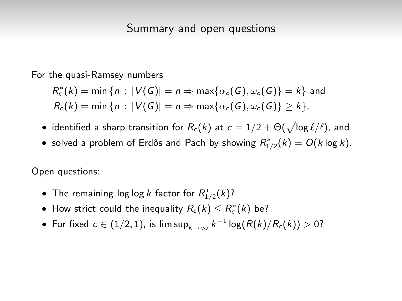For the quasi-Ramsey numbers

$$
R_c^*(k) = \min \{ n : |V(G)| = n \Rightarrow \max \{ \alpha_c(G), \omega_c(G) \} = k \} \text{ and}
$$
  

$$
R_c(k) = \min \{ n : |V(G)| = n \Rightarrow \max \{ \alpha_c(G), \omega_c(G) \} \ge k \},
$$

- $\bullet\,$  identified a sharp transition for  $R_c(k)$  at  $c=1/2+\Theta(\sqrt{\log \ell/\ell}),$  and
- solved a problem of Erdős and Pach by showing  $R^*_{1/2}(k) = O(k \log k)$ .

Open questions:

- The remaining log log k factor for  $R^*_{1/2}(k)$ ?
- How strict could the inequality  $R_c(k) \leq R_c^*(k)$  be?
- $\bullet$  For fixed  $c \in (1/2, 1)$ , is lim sup $_{k \to \infty}$   $k^{-1} \log (R(k)/R_c(k)) > 0$ ?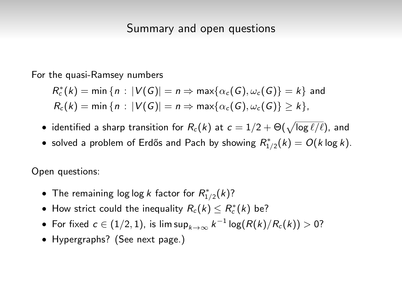For the quasi-Ramsey numbers

$$
R_c^*(k) = \min \{ n : |V(G)| = n \Rightarrow \max \{ \alpha_c(G), \omega_c(G) \} = k \} \text{ and}
$$
  

$$
R_c(k) = \min \{ n : |V(G)| = n \Rightarrow \max \{ \alpha_c(G), \omega_c(G) \} \ge k \},
$$

- $\bullet\,$  identified a sharp transition for  $R_c(k)$  at  $c=1/2+\Theta(\sqrt{\log \ell/\ell}),$  and
- solved a problem of Erdős and Pach by showing  $R^*_{1/2}(k) = O(k \log k)$ .

Open questions:

- The remaining log log k factor for  $R^*_{1/2}(k)$ ?
- How strict could the inequality  $R_c(k) \leq R_c^*(k)$  be?
- $\bullet$  For fixed  $c \in (1/2, 1)$ , is lim sup $_{k \to \infty}$   $k^{-1} \log (R(k)/R_c(k)) > 0$ ?
- Hypergraphs? (See next page.)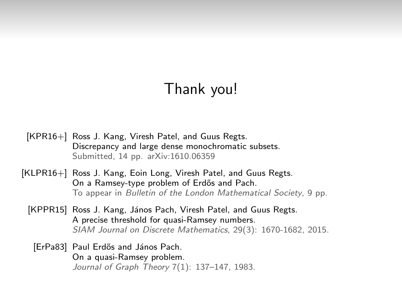# Thank you!

- [KPR16+] Ross J. Kang, Viresh Patel, and Guus Regts. Discrepancy and large dense monochromatic subsets. Submitted, 14 pp. arXiv:1610.06359
- [KLPR16+] Ross J. Kang, Eoin Long, Viresh Patel, and Guus Regts. On a Ramsey-type problem of Erdős and Pach. To appear in Bulletin of the London Mathematical Society, 9 pp.
	- [KPPR15] Ross J. Kang, János Pach, Viresh Patel, and Guus Regts. A precise threshold for quasi-Ramsey numbers. SIAM Journal on Discrete Mathematics, 29(3): 1670-1682, 2015.
		- [ErPa83] Paul Erdős and János Pach. On a quasi-Ramsey problem. Journal of Graph Theory 7(1): 137–147, 1983.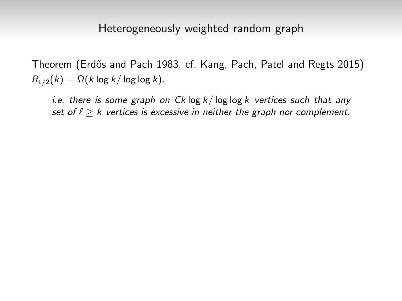Theorem (Erdős and Pach 1983, cf. Kang, Pach, Patel and Regts 2015)  $R_{1/2}(k) = \Omega(k \log k / \log \log k)$ .

i.e. there is some graph on  $Ck \log k / \log \log k$  vertices such that any set of  $\ell > k$  vertices is excessive in neither the graph nor complement.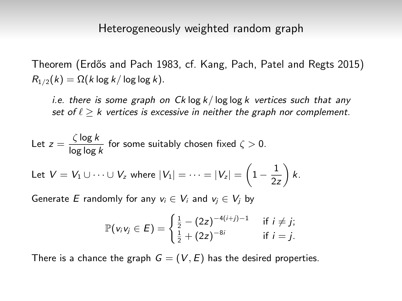Theorem (Erdős and Pach 1983, cf. Kang, Pach, Patel and Regts 2015)  $R_{1/2}(k) = \Omega(k \log k / \log \log k)$ .

i.e. there is some graph on  $C_k \log k / \log \log k$  vertices such that any set of  $\ell \geq k$  vertices is excessive in neither the graph nor complement.

Let 
$$
z = \frac{\zeta \log k}{\log \log k}
$$
 for some suitably chosen fixed  $\zeta > 0$ .  
Let  $V = V_1 \cup \cdots \cup V_z$  where  $|V_1| = \cdots = |V_z| = \left(1 - \frac{1}{2z}\right)k$ .

Generate E randomly for any  $v_i \in V_i$  and  $v_i \in V_j$  by

$$
\mathbb{P}(v_i v_j \in E) = \begin{cases} \frac{1}{2} - (2z)^{-4(i+j)-1} & \text{if } i \neq j; \\ \frac{1}{2} + (2z)^{-8i} & \text{if } i = j. \end{cases}
$$

There is a chance the graph  $G = (V, E)$  has the desired properties.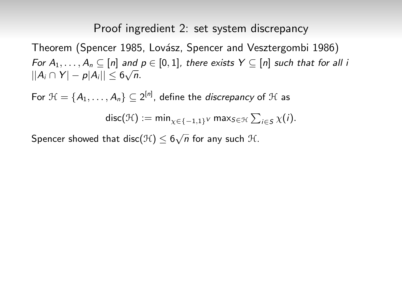Theorem (Spencer 1985, Lovász, Spencer and Vesztergombi 1986) For  $A_1, \ldots, A_n \subseteq [n]$  and  $p \in [0,1]$ , there exists  $Y \subseteq [n]$  such that for all i  $||A_i \cap Y| - p|A_i|| \leq 6\sqrt{n}.$ 

For  $\mathcal{H} = \{A_1, \ldots, A_n\} \subseteq 2^{|n|}$ , define the *discrepancy* of  $\mathcal{H}$  as  $\mathsf{disc}(\mathcal{H}) := \mathsf{min}_{\chi \in \{-1,1\}^V} \mathsf{max}_{\mathcal{S} \in \mathcal{H}} \sum_{i \in \mathcal{S}} \chi(i).$ 

Spencer showed that disc $(\mathcal{H}) \leq 6\sqrt{n}$  for any such  $\mathcal{H}.$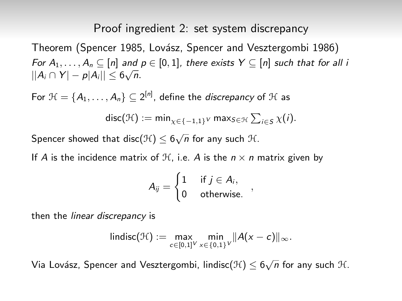Theorem (Spencer 1985, Lovász, Spencer and Vesztergombi 1986) For  $A_1, \ldots, A_n \subseteq [n]$  and  $p \in [0,1]$ , there exists  $Y \subseteq [n]$  such that for all i  $||A_i \cap Y| - p|A_i|| \leq 6\sqrt{n}.$ 

For  $\mathcal{H} = \{A_1, \ldots, A_n\} \subseteq 2^{|n|}$ , define the *discrepancy* of  $\mathcal{H}$  as  $\mathsf{disc}(\mathcal{H}) := \mathsf{min}_{\chi \in \{-1,1\}^V} \mathsf{max}_{\mathcal{S} \in \mathcal{H}} \sum_{i \in \mathcal{S}} \chi(i).$ 

Spencer showed that disc $(\mathcal{H}) \leq 6\sqrt{n}$  for any such  $\mathcal{H}.$ 

If A is the incidence matrix of  $H$ , i.e. A is the  $n \times n$  matrix given by

$$
A_{ij} = \begin{cases} 1 & \text{if } j \in A_i, \\ 0 & \text{otherwise.} \end{cases}
$$

then the linear discrepancy is

$$
\mathsf{lindisc}(\mathcal{H}):=\max_{c\in[0,1]^V}\min_{x\in\{0,1\}^V}\|A(x-c)\|_{\infty}.
$$

Via Lovász, Spencer and Vesztergombi, lindisc $(\mathcal{H}) \leq 6\sqrt{n}$  for any such  $\mathcal{H}.$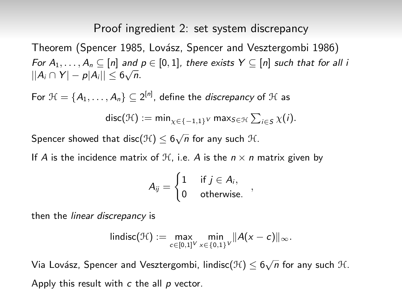Theorem (Spencer 1985, Lovász, Spencer and Vesztergombi 1986) For  $A_1, \ldots, A_n \subseteq [n]$  and  $p \in [0,1]$ , there exists  $Y \subseteq [n]$  such that for all i  $||A_i \cap Y| - p|A_i|| \leq 6\sqrt{n}.$ 

For  $\mathcal{H} = \{A_1, \ldots, A_n\} \subseteq 2^{|n|}$ , define the *discrepancy* of  $\mathcal{H}$  as  $\mathsf{disc}(\mathcal{H}) := \mathsf{min}_{\chi \in \{-1,1\}^V} \mathsf{max}_{\mathcal{S} \in \mathcal{H}} \sum_{i \in \mathcal{S}} \chi(i).$ 

Spencer showed that disc $(\mathcal{H}) \leq 6\sqrt{n}$  for any such  $\mathcal{H}.$ 

If A is the incidence matrix of  $H$ , i.e. A is the  $n \times n$  matrix given by

$$
A_{ij} = \begin{cases} 1 & \text{if } j \in A_i, \\ 0 & \text{otherwise.} \end{cases}
$$

then the linear discrepancy is

$$
\mathsf{lindisc}(\mathcal{H}):=\max_{c\in[0,1]^V}\min_{x\in\{0,1\}^V}\|A(x-c)\|_{\infty}.
$$

Via Lovász, Spencer and Vesztergombi, lindisc $(\mathcal{H}) \leq 6\sqrt{n}$  for any such  $\mathcal{H}.$ Apply this result with  $c$  the all  $p$  vector.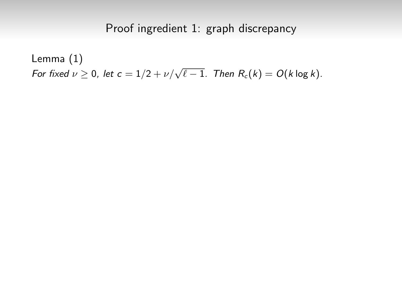# Proof ingredient 1: graph discrepancy

Lemma (1) For fixed  $\nu \geq 0$ , let  $c = 1/2 + \nu/\sqrt{\ell - 1}$ . Then  $R_c(k) = O(k \log k)$ .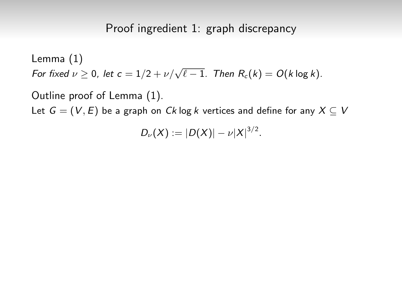## Proof ingredient 1: graph discrepancy

Lemma (1) For fixed  $\nu \geq 0$ , let  $c = 1/2 + \nu/\sqrt{\ell - 1}$ . Then  $R_c(k) = O(k \log k)$ . Outline proof of Lemma (1).

Let  $G = (V, E)$  be a graph on Ck log k vertices and define for any  $X \subseteq V$ 

 $D_{\nu}(X) := |D(X)| - \nu |X|^{3/2}.$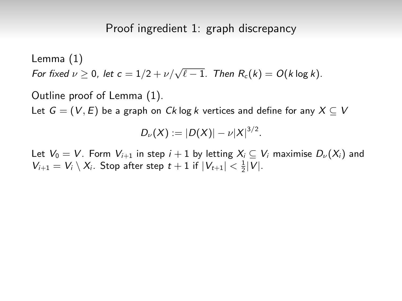Outline proof of Lemma (1).

Let  $G = (V, E)$  be a graph on Ck log k vertices and define for any  $X \subseteq V$ 

$$
D_{\nu}(X):=|D(X)|-\nu|X|^{3/2}.
$$

Let  $V_0 = V$ . Form  $V_{i+1}$  in step  $i+1$  by letting  $X_i \subseteq V_i$  maximise  $D_{\nu}(X_i)$  and  $V_{i+1} = V_i \setminus X_i$ . Stop after step  $t + 1$  if  $|V_{t+1}| < \frac{1}{2}|V|$ .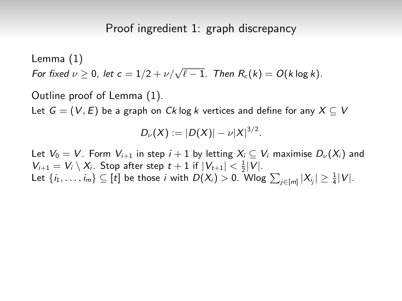Outline proof of Lemma (1).

Let  $G = (V, E)$  be a graph on Ck log k vertices and define for any  $X \subseteq V$ 

$$
D_{\nu}(X):=|D(X)|-\nu|X|^{3/2}.
$$

Let  $V_0 = V$ . Form  $V_{i+1}$  in step  $i+1$  by letting  $X_i \subset V_i$  maximise  $D_{\nu}(X_i)$  and  $V_{i+1} = V_i \setminus X_i$ . Stop after step  $t + 1$  if  $|V_{t+1}| < \frac{1}{2}|V|$ . Let  $\{i_1,\ldots,i_m\}\subseteq [t]$  be those  $i$  with  $D(X_i)>0.$  Wlog  $\sum_{j\in [m]}|X_{i_j}|\geq \frac{1}{4}|V|.$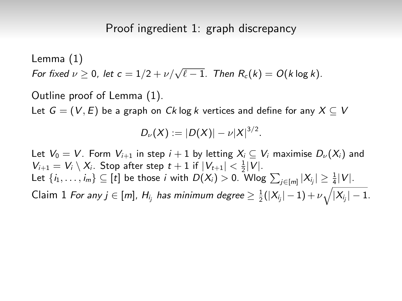Outline proof of Lemma (1).

Let  $G = (V, E)$  be a graph on Ck log k vertices and define for any  $X \subseteq V$ 

$$
D_{\nu}(X):=|D(X)|-\nu|X|^{3/2}.
$$

Let  $V_0 = V$ . Form  $V_{i+1}$  in step  $i+1$  by letting  $X_i \subset V_i$  maximise  $D_{\nu}(X_i)$  and  $V_{i+1} = V_i \setminus X_i$ . Stop after step  $t + 1$  if  $|V_{t+1}| < \frac{1}{2}|V|$ . Let  $\{i_1,\ldots,i_m\}\subseteq [t]$  be those  $i$  with  $D(X_i)>0.$  Wlog  $\sum_{j\in [m]}|X_{i_j}|\geq \frac{1}{4}|V|.$ Claim 1 For any  $j\in[m]$ ,  $H_{i_j}$  has minimum degree  $\geq \frac{1}{2}(|X_{i_j}|-1)+\nu\sqrt{|X_{i_j}|-1}.$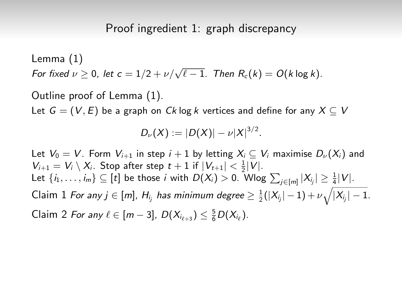Outline proof of Lemma (1).

Let  $G = (V, E)$  be a graph on Ck log k vertices and define for any  $X \subseteq V$ 

$$
D_{\nu}(X):=|D(X)|-\nu|X|^{3/2}.
$$

Let  $V_0 = V$ . Form  $V_{i+1}$  in step  $i + 1$  by letting  $X_i \subseteq V_i$  maximise  $D_{\nu}(X_i)$  and  $V_{i+1} = V_i \setminus X_i$ . Stop after step  $t+1$  if  $|V_{t+1}| < \frac{1}{2}|V|$ . Let  $\{i_1, \ldots, i_m\} \subseteq [t]$  be those i with  $D(X_i) > 0$ . Wlog  $\sum_{j \in [m]} |X_{i_j}| \geq \frac{1}{4}|V|$ . Claim 1 For any  $j\in[m]$ ,  $H_{i_j}$  has minimum degree  $\geq \frac{1}{2}(|X_{i_j}|-1)+\nu\sqrt{|X_{i_j}|-1}.$ Claim 2 For any  $\ell \in [m-3]$ ,  $D(X_{i_{\ell+3}}) \leq \frac{5}{6}D(X_{i_{\ell}})$ .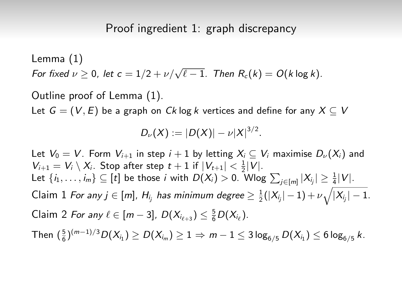Outline proof of Lemma (1).

Let  $G = (V, E)$  be a graph on Ck log k vertices and define for any  $X \subseteq V$ 

$$
D_{\nu}(X):=|D(X)|-\nu|X|^{3/2}.
$$

Let  $V_0 = V$ . Form  $V_{i+1}$  in step  $i+1$  by letting  $X_i \subset V_i$  maximise  $D_{\nu}(X_i)$  and  $V_{i+1} = V_i \setminus X_i$ . Stop after step  $t+1$  if  $|V_{t+1}| < \frac{1}{2}|V|$ . Let  $\{i_1, \ldots, i_m\} \subseteq [t]$  be those i with  $D(X_i) > 0$ . Wlog  $\sum_{j \in [m]} |X_{i_j}| \geq \frac{1}{4}|V|$ . Claim 1 For any  $j\in[m]$ ,  $H_{i_j}$  has minimum degree  $\geq \frac{1}{2}(|X_{i_j}|-1)+\nu\sqrt{|X_{i_j}|-1}.$ Claim 2 For any  $\ell \in [m-3]$ ,  $D(X_{i_{\ell+3}}) \leq \frac{5}{6}D(X_{i_{\ell}})$ . Then  $(\frac{5}{6})^{(m-1)/3}D(X_{i_1})\geq D(X_{i_m})\geq 1\Rightarrow \,m-1\leq 3\log_{6/5}D(X_{i_1})\leq 6\log_{6/5}k.$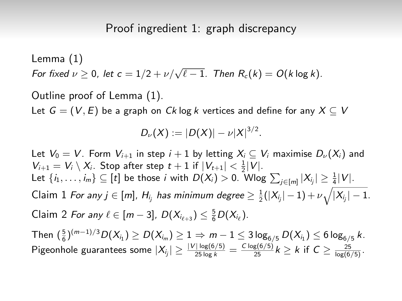Outline proof of Lemma (1).

Let  $G = (V, E)$  be a graph on Ck log k vertices and define for any  $X \subseteq V$ 

$$
D_{\nu}(X):=|D(X)|-\nu|X|^{3/2}.
$$

Let  $V_0 = V$ . Form  $V_{i+1}$  in step  $i+1$  by letting  $X_i \subset V_i$  maximise  $D_{\nu}(X_i)$  and  $V_{i+1} = V_i \setminus X_i$ . Stop after step  $t+1$  if  $|V_{t+1}| < \frac{1}{2}|V|$ . Let  $\{i_1, \ldots, i_m\} \subseteq [t]$  be those i with  $D(X_i) > 0$ . Wlog  $\sum_{j \in [m]} |X_{i_j}| \geq \frac{1}{4}|V|$ . Claim 1 For any  $j\in[m]$ ,  $H_{i_j}$  has minimum degree  $\geq \frac{1}{2}(|X_{i_j}|-1)+\nu\sqrt{|X_{i_j}|-1}.$ Claim 2 For any  $\ell \in [m-3]$ ,  $D(X_{i_{\ell+3}}) \leq \frac{5}{6}D(X_{i_{\ell}})$ . Then  $(\frac{5}{6})^{(m-1)/3}D(X_{i_1})\geq D(X_{i_m})\geq 1\Rightarrow \,m-1\leq 3\log_{6/5}D(X_{i_1})\leq 6\log_{6/5}k.$ 

Pigeonhole guarantees some  $|X_{i_j}| \geq \frac{|V| \log(6/5)}{25 \log k} = \frac{C \log(6/5)}{25} k \geq k$  if  $C \geq \frac{25}{\log(6/5)}$ .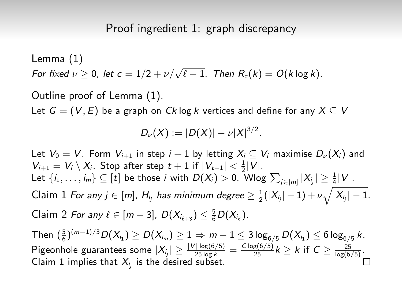Outline proof of Lemma (1).

Let  $G = (V, E)$  be a graph on Ck log k vertices and define for any  $X \subseteq V$ 

$$
D_{\nu}(X):=|D(X)|-\nu|X|^{3/2}.
$$

Let  $V_0 = V$ . Form  $V_{i+1}$  in step  $i+1$  by letting  $X_i \subset V_i$  maximise  $D_{\nu}(X_i)$  and  $V_{i+1} = V_i \setminus X_i$ . Stop after step  $t + 1$  if  $|V_{t+1}| < \frac{1}{2}|V|$ . Let  $\{i_1,\ldots,i_m\}\subseteq [t]$  be those  $i$  with  $D(X_i)>0.$  Wlog  $\sum_{j\in [m]}|X_{i_j}|\geq \frac{1}{4}|V|.$ Claim 1 For any  $j\in[m]$ ,  $H_{i_j}$  has minimum degree  $\geq \frac{1}{2}(|X_{i_j}|-1)+\nu\sqrt{|X_{i_j}|-1}.$ Claim 2 For any  $\ell \in [m-3]$ ,  $D(X_{i_{\ell+3}}) \leq \frac{5}{6}D(X_{i_{\ell}})$ . Then  $(\frac{5}{6})^{(m-1)/3}D(X_{i_1})\geq D(X_{i_m})\geq 1\Rightarrow \,m-1\leq 3\log_{6/5}D(X_{i_1})\leq 6\log_{6/5}k.$ Pigeonhole guarantees some  $|X_{i_j}| \geq \frac{|V| \log(6/5)}{25 \log k} = \frac{C \log(6/5)}{25} k \geq k$  if  $C \geq \frac{25}{\log(6/5)}$ . Claim 1 implies that  $X_{i_j}$  is the desired subset.